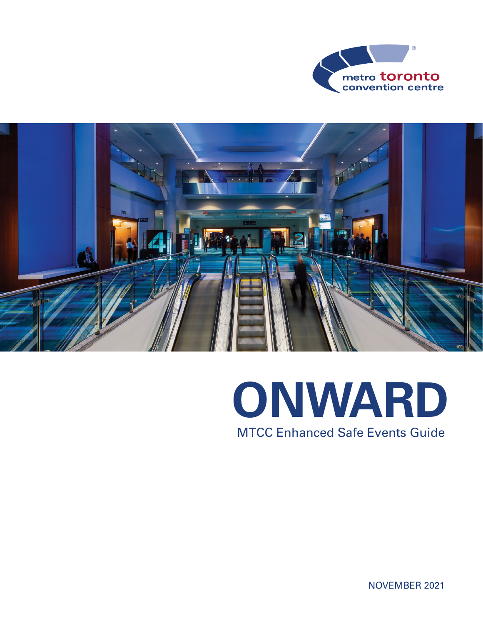



## MTCC Enhanced Safe Events Guide **ONWARD**

NOVEMBER 2021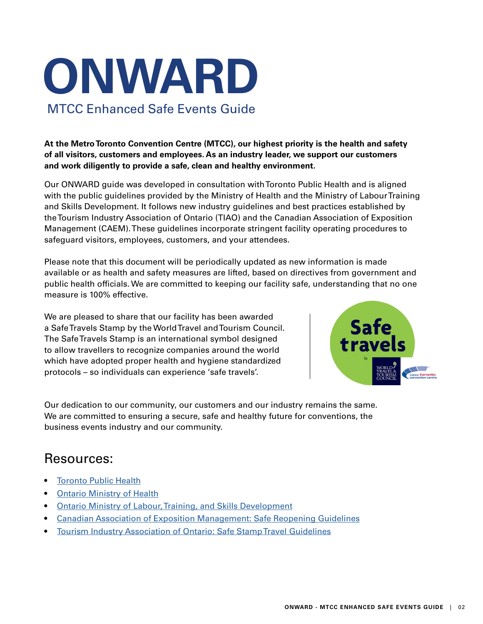# MTCC Enhanced Safe Events Guide **ONWARD**

**At the Metro Toronto Convention Centre (MTCC), our highest priority is the health and safety of all visitors, customers and employees. As an industry leader, we support our customers and work diligently to provide a safe, clean and healthy environment.** 

Our ONWARD guide was developed in consultation with Toronto Public Health and is aligned with the public guidelines provided by the Ministry of Health and the Ministry of Labour Training and Skills Development. It follows new industry guidelines and best practices established by the Tourism Industry Association of Ontario (TIAO) and the Canadian Association of Exposition Management (CAEM). These guidelines incorporate stringent facility operating procedures to safeguard visitors, employees, customers, and your attendees.

Please note that this document will be periodically updated as new information is made available or as health and safety measures are lifted, based on directives from government and public health officials. We are committed to keeping our facility safe, understanding that no one measure is 100% effective.

We are pleased to share that our facility has been awarded a Safe Travels Stamp by the World Travel and Tourism Council. The Safe Travels Stamp is an international symbol designed to allow travellers to recognize companies around the world which have adopted proper health and hygiene standardized protocols – so individuals can experience 'safe travels'.



Our dedication to our community, our customers and our industry remains the same. We are committed to ensuring a secure, safe and healthy future for conventions, the business events industry and our community.

#### Resources:

- **[Toronto Public Health](https://www.toronto.ca/home/covid-19/)**
- [Ontario Ministry of Health](https://www.ontario.ca/page/how-ontario-is-responding-covid-19?_ga=2.5822522.88921136.1605626033-1275757461.1605626033)
- [Ontario Ministry of Labour, Training, and Skills Development](https://www.ontario.ca/page/resources-prevent-covid-19-workplace#section-2)
- [Canadian Association of Exposition Management: Safe Reopening Guidelines](https://caem.ca/covid-19-resources/safe-reopening-guidelines/)
- [Tourism Industry Association of Ontario: Safe Stamp Travel Guidelines](https://www.tiaontario.ca/cpages/covid19)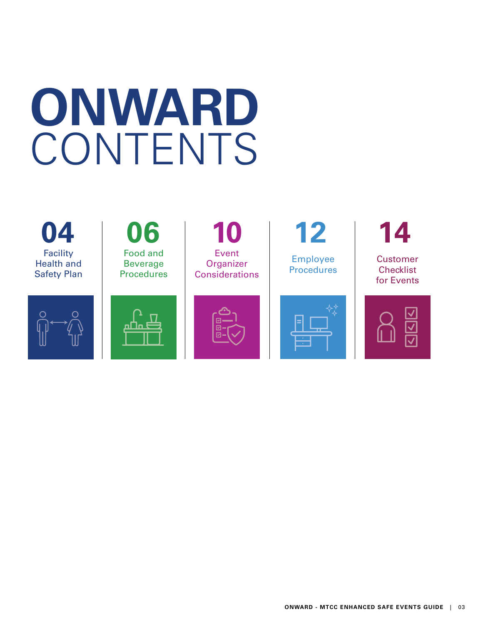# **ONWARD**  CONTENTS

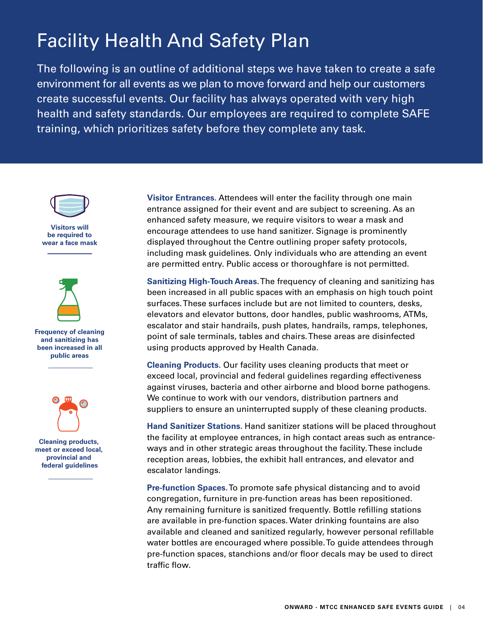## Facility Health And Safety Plan

The following is an outline of additional steps we have taken to create a safe environment for all events as we plan to move forward and help our customers create successful events. Our facility has always operated with very high health and safety standards. Our employees are required to complete SAFE training, which prioritizes safety before they complete any task.



**Visitors will be required to wear a face mask**



**Frequency of cleaning and sanitizing has been increased in all public areas**



**Cleaning products, meet or exceed local, provincial and federal guidelines**

**Visitor Entrances.** Attendees will enter the facility through one main entrance assigned for their event and are subject to screening. As an enhanced safety measure, we require visitors to wear a mask and encourage attendees to use hand sanitizer. Signage is prominently displayed throughout the Centre outlining proper safety protocols, including mask guidelines. Only individuals who are attending an event are permitted entry. Public access or thoroughfare is not permitted.

**Sanitizing High-Touch Areas.** The frequency of cleaning and sanitizing has been increased in all public spaces with an emphasis on high touch point surfaces. These surfaces include but are not limited to counters, desks, elevators and elevator buttons, door handles, public washrooms, ATMs, escalator and stair handrails, push plates, handrails, ramps, telephones, point of sale terminals, tables and chairs. These areas are disinfected using products approved by Health Canada.

**Cleaning Products.** Our facility uses cleaning products that meet or exceed local, provincial and federal guidelines regarding effectiveness against viruses, bacteria and other airborne and blood borne pathogens. We continue to work with our vendors, distribution partners and suppliers to ensure an uninterrupted supply of these cleaning products.

**Hand Sanitizer Stations.** Hand sanitizer stations will be placed throughout the facility at employee entrances, in high contact areas such as entranceways and in other strategic areas throughout the facility. These include reception areas, lobbies, the exhibit hall entrances, and elevator and escalator landings.

**Pre-function Spaces.** To promote safe physical distancing and to avoid congregation, furniture in pre-function areas has been repositioned. Any remaining furniture is sanitized frequently. Bottle refilling stations are available in pre-function spaces. Water drinking fountains are also available and cleaned and sanitized regularly, however personal refillable water bottles are encouraged where possible. To guide attendees through pre-function spaces, stanchions and/or floor decals may be used to direct traffic flow.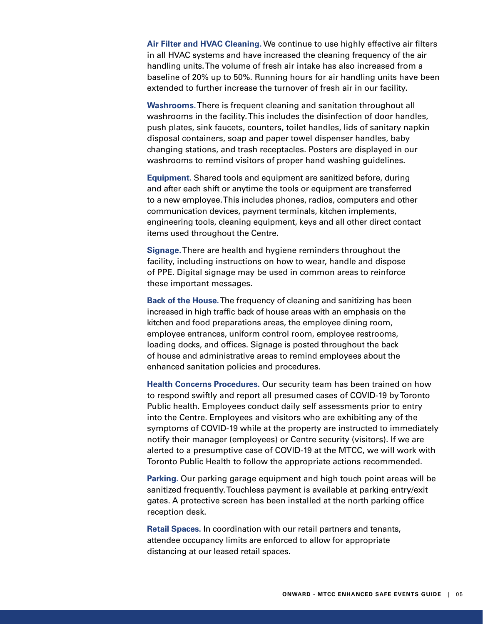**Air Filter and HVAC Cleaning.** We continue to use highly effective air filters in all HVAC systems and have increased the cleaning frequency of the air handling units. The volume of fresh air intake has also increased from a baseline of 20% up to 50%. Running hours for air handling units have been extended to further increase the turnover of fresh air in our facility.

**Washrooms.** There is frequent cleaning and sanitation throughout all washrooms in the facility. This includes the disinfection of door handles, push plates, sink faucets, counters, toilet handles, lids of sanitary napkin disposal containers, soap and paper towel dispenser handles, baby changing stations, and trash receptacles. Posters are displayed in our washrooms to remind visitors of proper hand washing guidelines.

**Equipment.** Shared tools and equipment are sanitized before, during and after each shift or anytime the tools or equipment are transferred to a new employee. This includes phones, radios, computers and other communication devices, payment terminals, kitchen implements, engineering tools, cleaning equipment, keys and all other direct contact items used throughout the Centre.

**Signage.** There are health and hygiene reminders throughout the facility, including instructions on how to wear, handle and dispose of PPE. Digital signage may be used in common areas to reinforce these important messages.

**Back of the House.** The frequency of cleaning and sanitizing has been increased in high traffic back of house areas with an emphasis on the kitchen and food preparations areas, the employee dining room, employee entrances, uniform control room, employee restrooms, loading docks, and offices. Signage is posted throughout the back of house and administrative areas to remind employees about the enhanced sanitation policies and procedures.

**Health Concerns Procedures.** Our security team has been trained on how to respond swiftly and report all presumed cases of COVID-19 by Toronto Public health. Employees conduct daily self assessments prior to entry into the Centre. Employees and visitors who are exhibiting any of the symptoms of COVID-19 while at the property are instructed to immediately notify their manager (employees) or Centre security (visitors). If we are alerted to a presumptive case of COVID-19 at the MTCC, we will work with Toronto Public Health to follow the appropriate actions recommended.

**Parking.** Our parking garage equipment and high touch point areas will be sanitized frequently. Touchless payment is available at parking entry/exit gates. A protective screen has been installed at the north parking office reception desk.

**Retail Spaces.** In coordination with our retail partners and tenants, attendee occupancy limits are enforced to allow for appropriate distancing at our leased retail spaces.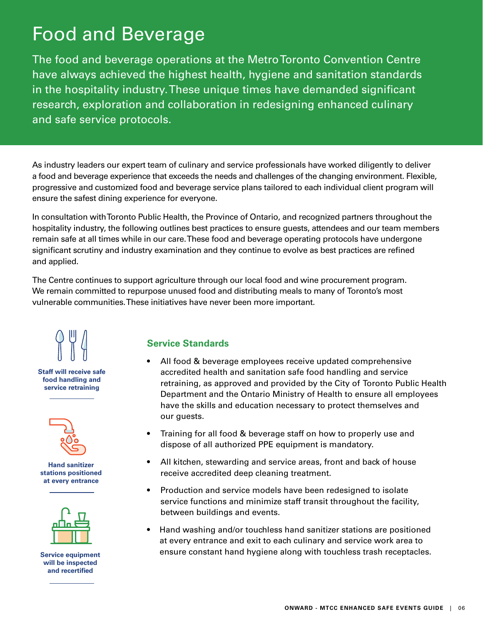## Food and Beverage

The food and beverage operations at the Metro Toronto Convention Centre have always achieved the highest health, hygiene and sanitation standards in the hospitality industry. These unique times have demanded significant research, exploration and collaboration in redesigning enhanced culinary and safe service protocols.

As industry leaders our expert team of culinary and service professionals have worked diligently to deliver a food and beverage experience that exceeds the needs and challenges of the changing environment. Flexible, progressive and customized food and beverage service plans tailored to each individual client program will ensure the safest dining experience for everyone.

In consultation with Toronto Public Health, the Province of Ontario, and recognized partners throughout the hospitality industry, the following outlines best practices to ensure guests, attendees and our team members remain safe at all times while in our care. These food and beverage operating protocols have undergone significant scrutiny and industry examination and they continue to evolve as best practices are refined and applied.

The Centre continues to support agriculture through our local food and wine procurement program. We remain committed to repurpose unused food and distributing meals to many of Toronto's most vulnerable communities. These initiatives have never been more important.



#### **Service Standards**

- All food & beverage employees receive updated comprehensive accredited health and sanitation safe food handling and service retraining, as approved and provided by the City of Toronto Public Health Department and the Ontario Ministry of Health to ensure all employees have the skills and education necessary to protect themselves and our guests.
- Training for all food & beverage staff on how to properly use and dispose of all authorized PPE equipment is mandatory.
- All kitchen, stewarding and service areas, front and back of house receive accredited deep cleaning treatment.
- Production and service models have been redesigned to isolate service functions and minimize staff transit throughout the facility, between buildings and events.
- Hand washing and/or touchless hand sanitizer stations are positioned at every entrance and exit to each culinary and service work area to ensure constant hand hygiene along with touchless trash receptacles.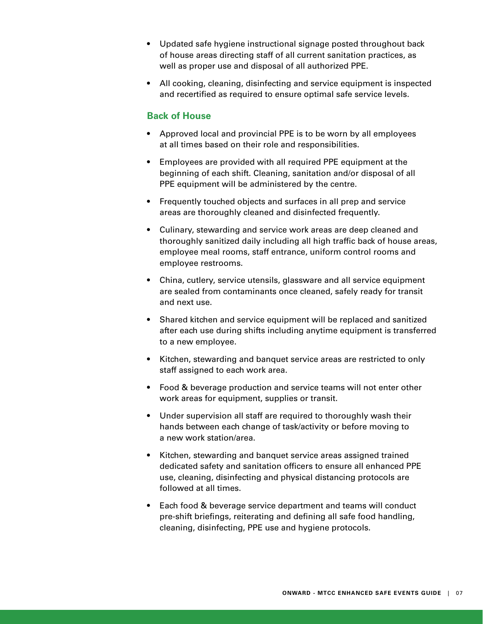- Updated safe hygiene instructional signage posted throughout back of house areas directing staff of all current sanitation practices, as well as proper use and disposal of all authorized PPE.
- All cooking, cleaning, disinfecting and service equipment is inspected and recertified as required to ensure optimal safe service levels.

#### **Back of House**

- Approved local and provincial PPE is to be worn by all employees at all times based on their role and responsibilities.
- Employees are provided with all required PPE equipment at the beginning of each shift. Cleaning, sanitation and/or disposal of all PPE equipment will be administered by the centre.
- Frequently touched objects and surfaces in all prep and service areas are thoroughly cleaned and disinfected frequently.
- Culinary, stewarding and service work areas are deep cleaned and thoroughly sanitized daily including all high traffic back of house areas, employee meal rooms, staff entrance, uniform control rooms and employee restrooms.
- China, cutlery, service utensils, glassware and all service equipment are sealed from contaminants once cleaned, safely ready for transit and next use.
- Shared kitchen and service equipment will be replaced and sanitized after each use during shifts including anytime equipment is transferred to a new employee.
- Kitchen, stewarding and banquet service areas are restricted to only staff assigned to each work area.
- Food & beverage production and service teams will not enter other work areas for equipment, supplies or transit.
- Under supervision all staff are required to thoroughly wash their hands between each change of task/activity or before moving to a new work station/area.
- Kitchen, stewarding and banquet service areas assigned trained dedicated safety and sanitation officers to ensure all enhanced PPE use, cleaning, disinfecting and physical distancing protocols are followed at all times.
- Each food & beverage service department and teams will conduct pre-shift briefings, reiterating and defining all safe food handling, cleaning, disinfecting, PPE use and hygiene protocols.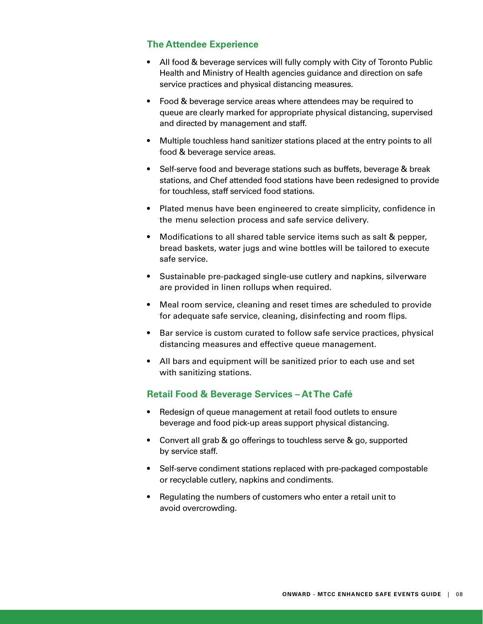#### **The Attendee Experience**

- All food & beverage services will fully comply with City of Toronto Public Health and Ministry of Health agencies guidance and direction on safe service practices and physical distancing measures.
- Food & beverage service areas where attendees may be required to queue are clearly marked for appropriate physical distancing, supervised and directed by management and staff.
- Multiple touchless hand sanitizer stations placed at the entry points to all food & beverage service areas.
- Self-serve food and beverage stations such as buffets, beverage & break stations, and Chef attended food stations have been redesigned to provide for touchless, staff serviced food stations.
- Plated menus have been engineered to create simplicity, confidence in the menu selection process and safe service delivery.
- Modifications to all shared table service items such as salt & pepper, bread baskets, water jugs and wine bottles will be tailored to execute safe service.
- Sustainable pre-packaged single-use cutlery and napkins, silverware are provided in linen rollups when required.
- Meal room service, cleaning and reset times are scheduled to provide for adequate safe service, cleaning, disinfecting and room flips.
- Bar service is custom curated to follow safe service practices, physical distancing measures and effective queue management.
- All bars and equipment will be sanitized prior to each use and set with sanitizing stations.

#### **Retail Food & Beverage Services – At The Café**

- Redesign of queue management at retail food outlets to ensure beverage and food pick-up areas support physical distancing.
- Convert all grab & go offerings to touchless serve & go, supported by service staff.
- Self-serve condiment stations replaced with pre-packaged compostable or recyclable cutlery, napkins and condiments.
- Regulating the numbers of customers who enter a retail unit to avoid overcrowding.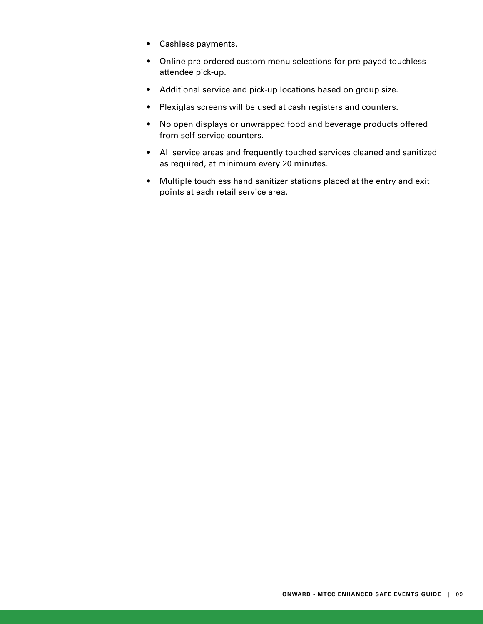- Cashless payments.
- Online pre-ordered custom menu selections for pre-payed touchless attendee pick-up.
- Additional service and pick-up locations based on group size.
- Plexiglas screens will be used at cash registers and counters.
- No open displays or unwrapped food and beverage products offered from self-service counters.
- All service areas and frequently touched services cleaned and sanitized as required, at minimum every 20 minutes.
- Multiple touchless hand sanitizer stations placed at the entry and exit points at each retail service area.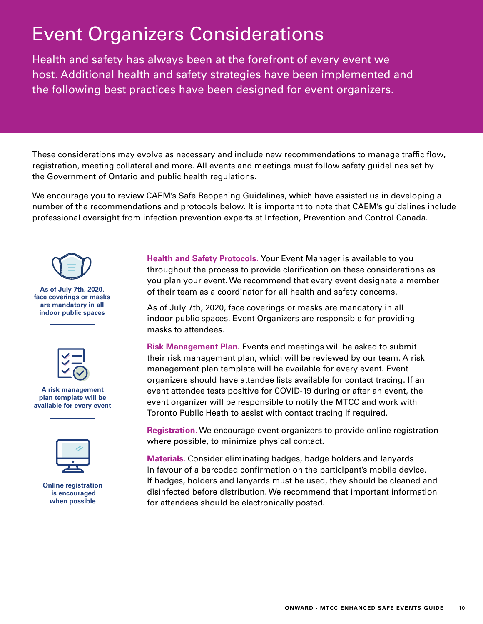## Event Organizers Considerations

Health and safety has always been at the forefront of every event we host. Additional health and safety strategies have been implemented and the following best practices have been designed for event organizers.

These considerations may evolve as necessary and include new recommendations to manage traffic flow, registration, meeting collateral and more. All events and meetings must follow safety guidelines set by the Government of Ontario and public health regulations.

We encourage you to review CAEM's Safe Reopening Guidelines, which have assisted us in developing a number of the recommendations and protocols below. It is important to note that CAEM's guidelines include professional oversight from infection prevention experts at Infection, Prevention and Control Canada.



**As of July 7th, 2020, face coverings or masks are mandatory in all indoor public spaces**



#### **A risk management plan template will be available for every event**



**Online registration is encouraged when possible**

**Health and Safety Protocols.** Your Event Manager is available to you throughout the process to provide clarification on these considerations as you plan your event. We recommend that every event designate a member of their team as a coordinator for all health and safety concerns.

As of July 7th, 2020, face coverings or masks are mandatory in all indoor public spaces. Event Organizers are responsible for providing masks to attendees.

**Risk Management Plan.** Events and meetings will be asked to submit their risk management plan, which will be reviewed by our team. A risk management plan template will be available for every event. Event organizers should have attendee lists available for contact tracing. If an event attendee tests positive for COVID-19 during or after an event, the event organizer will be responsible to notify the MTCC and work with Toronto Public Heath to assist with contact tracing if required.

**Registration**. We encourage event organizers to provide online registration where possible, to minimize physical contact.

**Materials.** Consider eliminating badges, badge holders and lanyards in favour of a barcoded confirmation on the participant's mobile device. If badges, holders and lanyards must be used, they should be cleaned and disinfected before distribution. We recommend that important information for attendees should be electronically posted.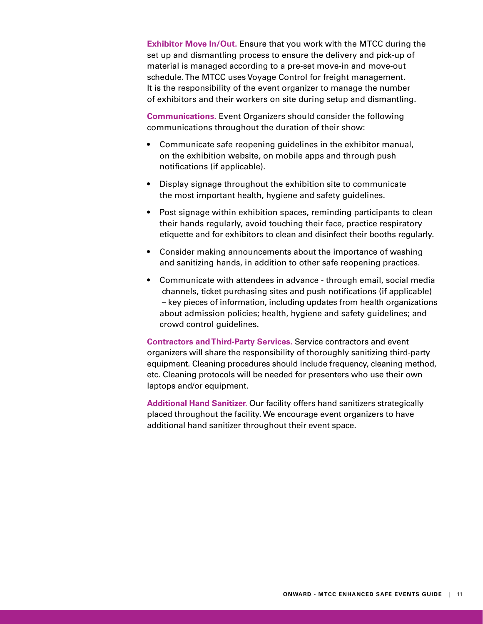**Exhibitor Move In/Out.** Ensure that you work with the MTCC during the set up and dismantling process to ensure the delivery and pick-up of material is managed according to a pre-set move-in and move-out schedule. The MTCC uses Voyage Control for freight management. It is the responsibility of the event organizer to manage the number of exhibitors and their workers on site during setup and dismantling.

**Communications.** Event Organizers should consider the following communications throughout the duration of their show:

- Communicate safe reopening guidelines in the exhibitor manual, on the exhibition website, on mobile apps and through push notifications (if applicable).
- Display signage throughout the exhibition site to communicate the most important health, hygiene and safety guidelines.
- Post signage within exhibition spaces, reminding participants to clean their hands regularly, avoid touching their face, practice respiratory etiquette and for exhibitors to clean and disinfect their booths regularly.
- Consider making announcements about the importance of washing and sanitizing hands, in addition to other safe reopening practices.
- Communicate with attendees in advance through email, social media channels, ticket purchasing sites and push notifications (if applicable) – key pieces of information, including updates from health organizations about admission policies; health, hygiene and safety guidelines; and crowd control guidelines.

**Contractors and Third-Party Services.** Service contractors and event organizers will share the responsibility of thoroughly sanitizing third-party equipment. Cleaning procedures should include frequency, cleaning method, etc. Cleaning protocols will be needed for presenters who use their own laptops and/or equipment.

**Additional Hand Sanitizer.** Our facility offers hand sanitizers strategically placed throughout the facility. We encourage event organizers to have additional hand sanitizer throughout their event space.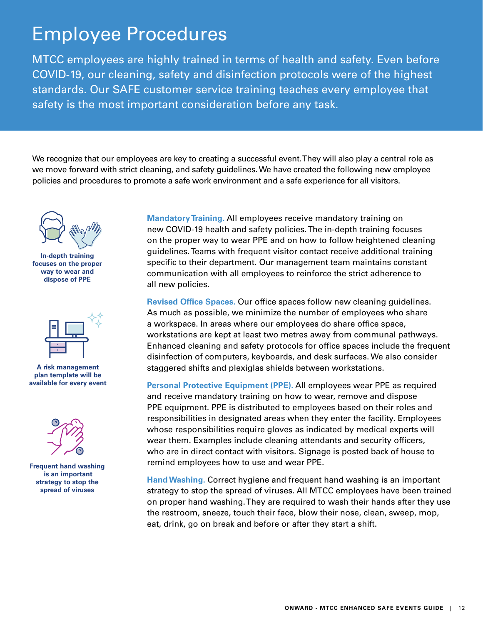### Employee Procedures

MTCC employees are highly trained in terms of health and safety. Even before COVID-19, our cleaning, safety and disinfection protocols were of the highest standards. Our SAFE customer service training teaches every employee that safety is the most important consideration before any task.

We recognize that our employees are key to creating a successful event. They will also play a central role as we move forward with strict cleaning, and safety guidelines. We have created the following new employee policies and procedures to promote a safe work environment and a safe experience for all visitors.



**In-depth training focuses on the proper way to wear and dispose of PPE**



**A risk management plan template will be available for every event**



**Frequent hand washing is an important strategy to stop the spread of viruses**

**Mandatory Training.** All employees receive mandatory training on new COVID-19 health and safety policies. The in-depth training focuses on the proper way to wear PPE and on how to follow heightened cleaning guidelines. Teams with frequent visitor contact receive additional training specific to their department. Our management team maintains constant communication with all employees to reinforce the strict adherence to all new policies.

**Revised Office Spaces.** Our office spaces follow new cleaning guidelines. As much as possible, we minimize the number of employees who share a workspace. In areas where our employees do share office space, workstations are kept at least two metres away from communal pathways. Enhanced cleaning and safety protocols for office spaces include the frequent disinfection of computers, keyboards, and desk surfaces. We also consider staggered shifts and plexiglas shields between workstations.

**Personal Protective Equipment (PPE).** All employees wear PPE as required and receive mandatory training on how to wear, remove and dispose PPE equipment. PPE is distributed to employees based on their roles and responsibilities in designated areas when they enter the facility. Employees whose responsibilities require gloves as indicated by medical experts will wear them. Examples include cleaning attendants and security officers, who are in direct contact with visitors. Signage is posted back of house to remind employees how to use and wear PPE.

**Hand Washing.** Correct hygiene and frequent hand washing is an important strategy to stop the spread of viruses. All MTCC employees have been trained on proper hand washing. They are required to wash their hands after they use the restroom, sneeze, touch their face, blow their nose, clean, sweep, mop, eat, drink, go on break and before or after they start a shift.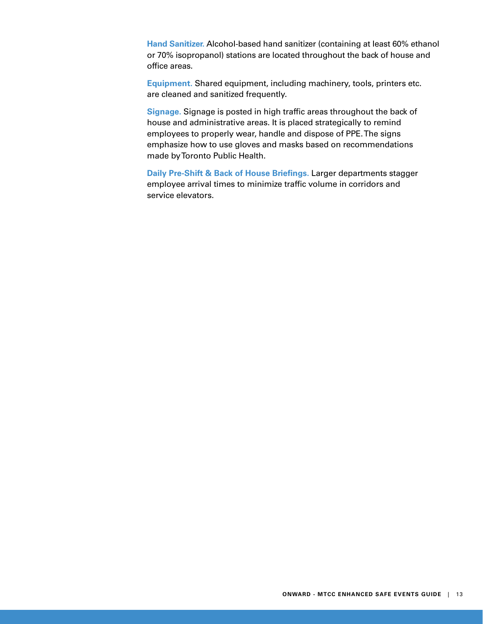**Hand Sanitizer.** Alcohol-based hand sanitizer (containing at least 60% ethanol or 70% isopropanol) stations are located throughout the back of house and office areas.

**Equipment.** Shared equipment, including machinery, tools, printers etc. are cleaned and sanitized frequently.

**Signage.** Signage is posted in high traffic areas throughout the back of house and administrative areas. It is placed strategically to remind employees to properly wear, handle and dispose of PPE. The signs emphasize how to use gloves and masks based on recommendations made by Toronto Public Health.

**Daily Pre-Shift & Back of House Briefings.** Larger departments stagger employee arrival times to minimize traffic volume in corridors and service elevators.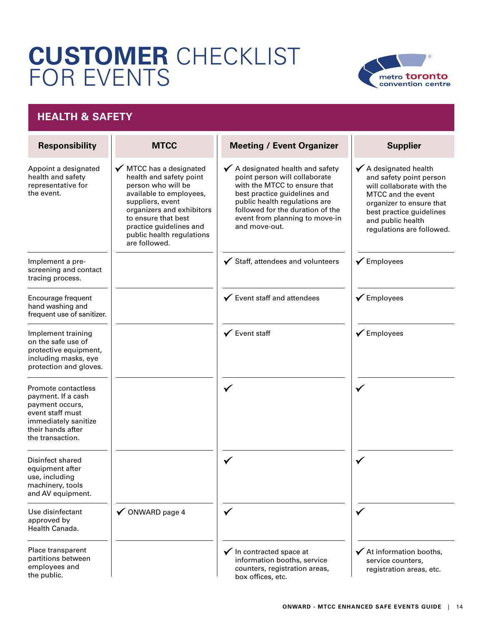## **CUSTOMER** CHECKLIST FOR EVENTS



#### **HEALTH & SAFETY**

| <b>Responsibility</b>                                                                                                                             | <b>MTCC</b>                                                                                                                                                                                                                                          | <b>Meeting / Event Organizer</b>                                                                                                                                                                                                                                     | <b>Supplier</b>                                                                                                                                                                                                          |
|---------------------------------------------------------------------------------------------------------------------------------------------------|------------------------------------------------------------------------------------------------------------------------------------------------------------------------------------------------------------------------------------------------------|----------------------------------------------------------------------------------------------------------------------------------------------------------------------------------------------------------------------------------------------------------------------|--------------------------------------------------------------------------------------------------------------------------------------------------------------------------------------------------------------------------|
| Appoint a designated<br>health and safety<br>representative for<br>the event.                                                                     | ✔ MTCC has a designated<br>health and safety point<br>person who will be<br>available to employees,<br>suppliers, event<br>organizers and exhibitors<br>to ensure that best<br>practice guidelines and<br>public health regulations<br>are followed. | $\checkmark$ A designated health and safety<br>point person will collaborate<br>with the MTCC to ensure that<br>best practice guidelines and<br>public health regulations are<br>followed for the duration of the<br>event from planning to move-in<br>and move-out. | $\checkmark$ A designated health<br>and safety point person<br>will collaborate with the<br>MTCC and the event<br>organizer to ensure that<br>best practice guidelines<br>and public health<br>regulations are followed. |
| Implement a pre-<br>screening and contact<br>tracing process.                                                                                     |                                                                                                                                                                                                                                                      | $\checkmark$ Staff, attendees and volunteers                                                                                                                                                                                                                         | $\checkmark$ Employees                                                                                                                                                                                                   |
| Encourage frequent<br>hand washing and<br>frequent use of sanitizer.                                                                              |                                                                                                                                                                                                                                                      | $\checkmark$ Event staff and attendees                                                                                                                                                                                                                               | $\checkmark$ Employees                                                                                                                                                                                                   |
| Implement training<br>on the safe use of<br>protective equipment,<br>including masks, eye<br>protection and gloves.                               |                                                                                                                                                                                                                                                      | $\checkmark$ Event staff                                                                                                                                                                                                                                             | $\checkmark$ Employees                                                                                                                                                                                                   |
| Promote contactless<br>payment. If a cash<br>payment occurs,<br>event staff must<br>immediately sanitize<br>their hands after<br>the transaction. |                                                                                                                                                                                                                                                      | $\checkmark$                                                                                                                                                                                                                                                         |                                                                                                                                                                                                                          |
| Disinfect shared<br>equipment after<br>use, including<br>machinery, tools<br>and AV equipment.                                                    |                                                                                                                                                                                                                                                      | ✔                                                                                                                                                                                                                                                                    |                                                                                                                                                                                                                          |
| Use disinfectant<br>approved by<br>Health Canada.                                                                                                 | $\checkmark$ ONWARD page 4                                                                                                                                                                                                                           | $\checkmark$                                                                                                                                                                                                                                                         | $\checkmark$                                                                                                                                                                                                             |
| Place transparent<br>partitions between<br>employees and<br>the public.                                                                           |                                                                                                                                                                                                                                                      | $\checkmark$ In contracted space at<br>information booths, service<br>counters, registration areas,<br>box offices, etc.                                                                                                                                             | $\checkmark$ At information booths,<br>service counters,<br>registration areas, etc.                                                                                                                                     |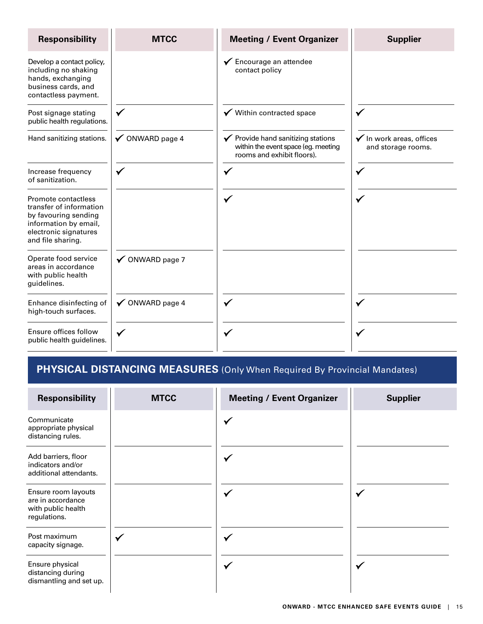| <b>Responsibility</b>                                                                                                                         | <b>MTCC</b>     | <b>Meeting / Event Organizer</b>                                                                                   | <b>Supplier</b>                                           |
|-----------------------------------------------------------------------------------------------------------------------------------------------|-----------------|--------------------------------------------------------------------------------------------------------------------|-----------------------------------------------------------|
| Develop a contact policy,<br>including no shaking<br>hands, exchanging<br>business cards, and<br>contactless payment.                         |                 | ✔ Encourage an attendee<br>contact policy                                                                          |                                                           |
| Post signage stating<br>public health regulations.                                                                                            | $\checkmark$    | $\checkmark$ Within contracted space                                                                               |                                                           |
| Hand sanitizing stations.                                                                                                                     | ✔ ONWARD page 4 | $\checkmark$ Provide hand sanitizing stations<br>within the event space (eg. meeting<br>rooms and exhibit floors). | $\checkmark$ In work areas, offices<br>and storage rooms. |
| Increase frequency<br>of sanitization.                                                                                                        | ✔               |                                                                                                                    |                                                           |
| Promote contactless<br>transfer of information<br>by favouring sending<br>information by email,<br>electronic signatures<br>and file sharing. |                 | $\checkmark$                                                                                                       |                                                           |
| Operate food service<br>areas in accordance<br>with public health<br>guidelines.                                                              | ✔ ONWARD page 7 |                                                                                                                    |                                                           |
| Enhance disinfecting of<br>high-touch surfaces.                                                                                               | ✔ ONWARD page 4 |                                                                                                                    |                                                           |
| Ensure offices follow<br>public health guidelines.                                                                                            |                 |                                                                                                                    |                                                           |

#### **PHYSICAL DISTANCING MEASURES** (Only When Required By Provincial Mandates)

| <b>Responsibility</b>                                                          | <b>MTCC</b> | <b>Meeting / Event Organizer</b> | <b>Supplier</b> |
|--------------------------------------------------------------------------------|-------------|----------------------------------|-----------------|
| Communicate<br>appropriate physical<br>distancing rules.                       |             | $\checkmark$                     |                 |
| Add barriers, floor<br>indicators and/or<br>additional attendants.             |             |                                  |                 |
| Ensure room layouts<br>are in accordance<br>with public health<br>regulations. |             | $\checkmark$                     | $\checkmark$    |
| Post maximum<br>capacity signage.                                              | ✓           | M                                |                 |
| Ensure physical<br>distancing during<br>dismantling and set up.                |             | $\checkmark$                     |                 |